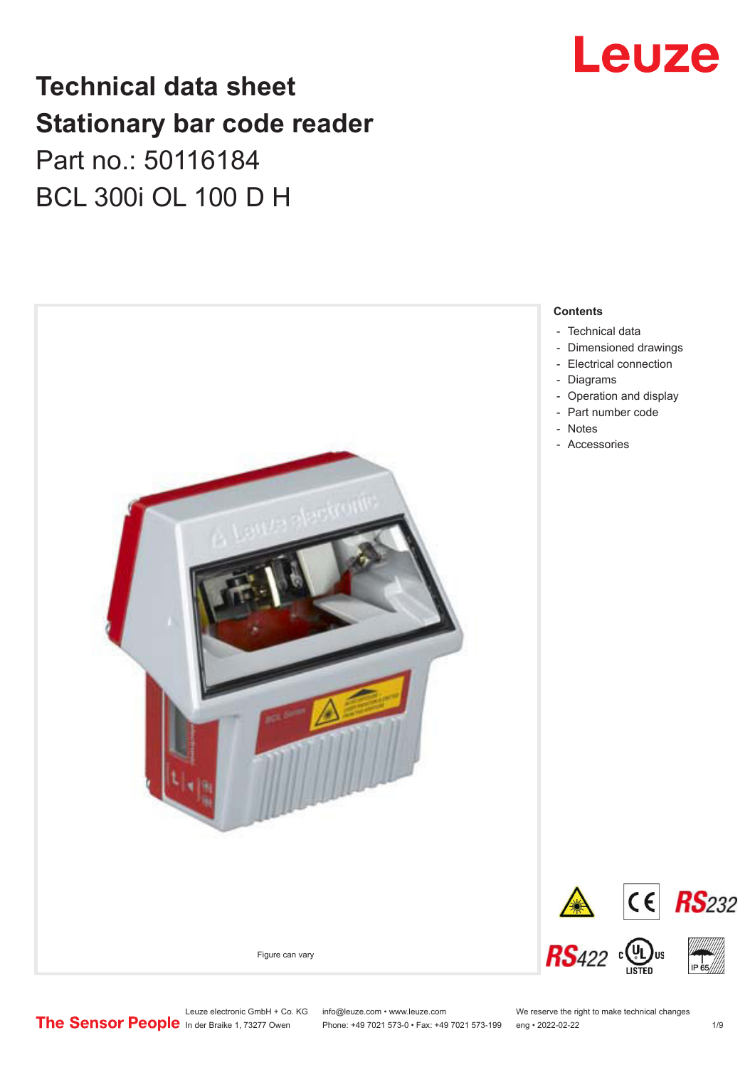# **Technical data sheet Stationary bar code reader** Part no.: 50116184 BCL 300i OL 100 D H



# Leuze

Leuze electronic GmbH + Co. KG info@leuze.com • www.leuze.com We reserve the right to make technical changes<br>
The Sensor People in der Braike 1, 73277 Owen Phone: +49 7021 573-0 • Fax: +49 7021 573-199 eng • 2022-02-22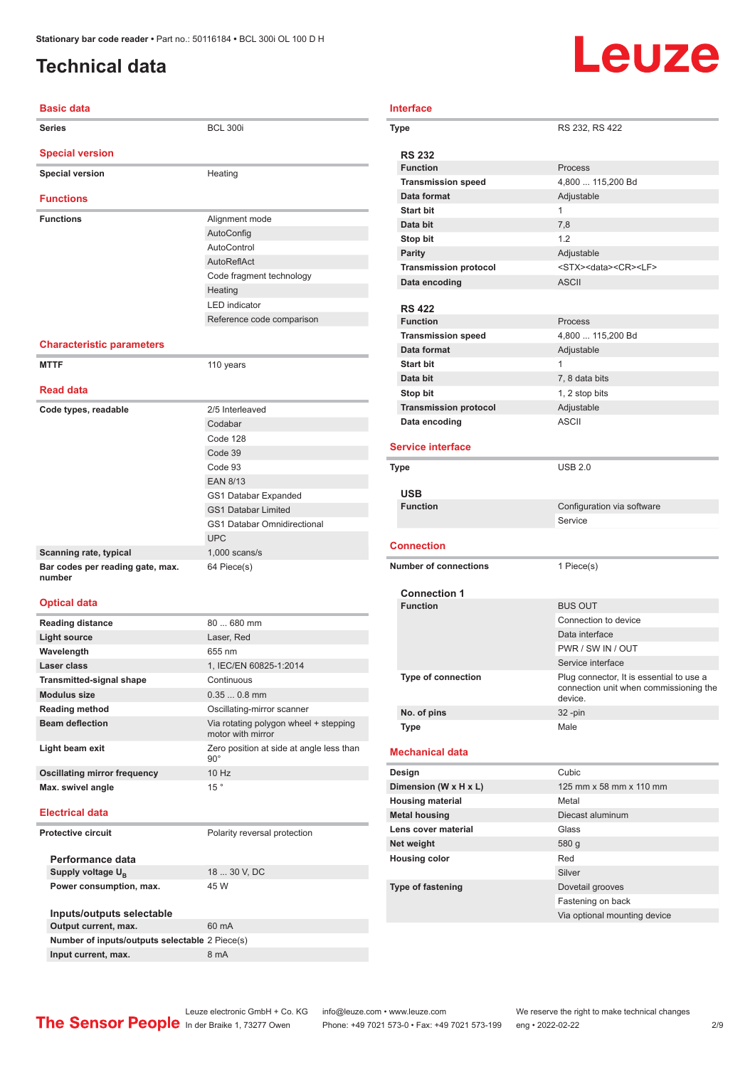# <span id="page-1-0"></span>**Technical data**

# Leuze

### **Basic data Series** BCL 300i **Special version Special version Heating Functions Functions** Alignment mode AutoConfig AutoControl AutoReflAct Code fragment technology **Heating** LED indicator Reference code comparison **Characteristic parameters MTTF** 110 years **Read data** Code types, readable 2/5 Interleaved Codabar Code 128 Code 39 Code 93 EAN 8/13 GS1 Databar Expanded GS1 Databar Limited GS1 Databar Omnidirectional UPC **Scanning rate, typical** 1,000 scans/s **Bar codes per reading gate, max. number** 64 Piece(s) **Optical data Reading distance** 80 ... 680 mm **Light source** Laser, Red **Wavelength** 655 nm **Laser class** 1, IEC/EN 60825-1:2014 **Transmitted-signal shape Continuous Modulus size** 0.35 ... 0.8 mm **Reading method Conservation Conservation Conservation Conservation Conservation Conservation Conservation Beam deflection** Via rotating polygon wheel + stepping motor with mirror **Light beam exit** Zero position at side at angle less than

### 90° **Oscillating mirror frequency** 10 Hz **Max.** swivel angle 15 **Electrical data Protective circuit** Polarity reversal protection **Performance data** Supply voltage  $U_B$ 18 ... 30 V, DC **Power consumption, max.** 45 W **Inputs/outputs selectable Output current, max.** 60 mA **Number of inputs/outputs selectable** 2 Piece(s) **Input current, max.** 8 mA

|  | <b>Interface</b>                       |                                            |  |  |
|--|----------------------------------------|--------------------------------------------|--|--|
|  | Type                                   | RS 232, RS 422                             |  |  |
|  | <b>RS 232</b>                          |                                            |  |  |
|  | <b>Function</b>                        | Process                                    |  |  |
|  | <b>Transmission speed</b>              | 4,800  115,200 Bd                          |  |  |
|  | Data format                            | Adjustable                                 |  |  |
|  | <b>Start bit</b>                       | 1                                          |  |  |
|  | Data bit                               | 7,8                                        |  |  |
|  | Stop bit                               | 12                                         |  |  |
|  | <b>Parity</b>                          | Adjustable                                 |  |  |
|  | <b>Transmission protocol</b>           | <stx><data><cr><lf></lf></cr></data></stx> |  |  |
|  | Data encoding                          | <b>ASCII</b>                               |  |  |
|  |                                        |                                            |  |  |
|  | <b>RS 422</b>                          |                                            |  |  |
|  | <b>Function</b>                        | Process                                    |  |  |
|  | <b>Transmission speed</b>              | 4,800  115,200 Bd                          |  |  |
|  | Data format                            | Adjustable                                 |  |  |
|  | <b>Start bit</b>                       | $\mathbf{1}$                               |  |  |
|  | Data bit                               | 7, 8 data bits                             |  |  |
|  | Stop bit                               | 1, 2 stop bits                             |  |  |
|  | <b>Transmission protocol</b>           | Adjustable                                 |  |  |
|  | Data encoding                          | <b>ASCII</b>                               |  |  |
|  | <b>Service interface</b>               |                                            |  |  |
|  | <b>Type</b>                            | <b>USB 2.0</b>                             |  |  |
|  |                                        |                                            |  |  |
|  | <b>USB</b>                             |                                            |  |  |
|  | <b>Function</b>                        | Configuration via software                 |  |  |
|  |                                        | Service                                    |  |  |
|  | <b>Connection</b>                      |                                            |  |  |
|  |                                        |                                            |  |  |
|  | <b>Number of connections</b>           | 1 Piece(s)                                 |  |  |
|  |                                        |                                            |  |  |
|  |                                        |                                            |  |  |
|  | <b>Connection 1</b><br><b>Function</b> | <b>BUS OUT</b>                             |  |  |
|  |                                        |                                            |  |  |
|  |                                        | Connection to device<br>Data interface     |  |  |
|  |                                        | PWR / SW IN / OUT                          |  |  |
|  |                                        | Service interface                          |  |  |
|  | <b>Type of connection</b>              | Plug connector, It is essential to use a   |  |  |
|  |                                        | connection unit when commissioning the     |  |  |
|  |                                        | device.                                    |  |  |
|  | No. of pins                            | $32 - pin$                                 |  |  |
|  | Type                                   | Male                                       |  |  |
|  | <b>Mechanical data</b>                 |                                            |  |  |
|  | Design                                 | Cubic                                      |  |  |
|  | Dimension (W x H x L)                  | 125 mm x 58 mm x 110 mm                    |  |  |
|  | <b>Housing material</b>                | Metal                                      |  |  |
|  | <b>Metal housing</b>                   | Diecast aluminum                           |  |  |
|  | Lens cover material                    | Glass                                      |  |  |
|  | Net weight                             | 580 g                                      |  |  |
|  | <b>Housing color</b>                   | Red                                        |  |  |
|  |                                        | Silver                                     |  |  |
|  | <b>Type of fastening</b>               | Dovetail grooves                           |  |  |
|  |                                        | Fastening on back                          |  |  |
|  |                                        | Via optional mounting device               |  |  |

Leuze electronic GmbH + Co. KG info@leuze.com • www.leuze.com We reserve the right to make technical changes<br>
The Sensor People in der Braike 1, 73277 Owen Phone: +49 7021 573-0 • Fax: +49 7021 573-199 eng • 2022-02-22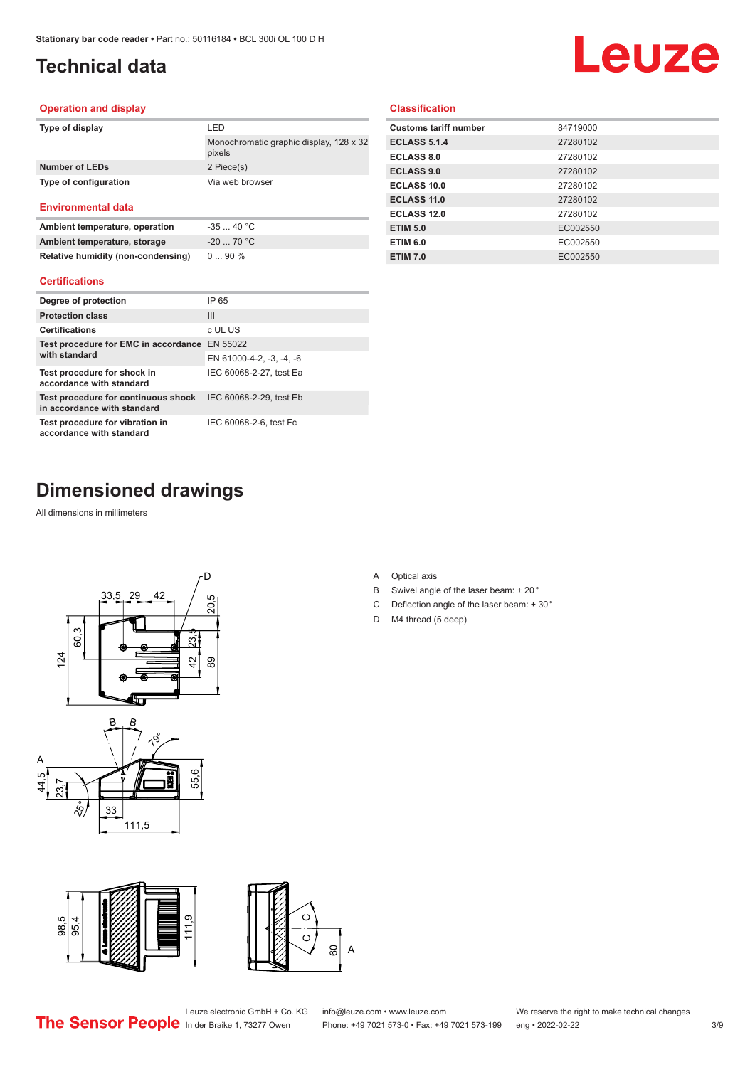# <span id="page-2-0"></span>**Technical data**

# Leuze

#### **Operation and display**

| Type of display           | I FD                                              |
|---------------------------|---------------------------------------------------|
|                           | Monochromatic graphic display, 128 x 32<br>pixels |
| Number of LEDs            | 2 Piece(s)                                        |
| Type of configuration     | Via web browser                                   |
| <b>Environmental data</b> |                                                   |

# **Ambient temperature, operation** -35 ... 40 °C

| Ambient temperature, storage       | $-20$ 70 °C |
|------------------------------------|-------------|
| Relative humidity (non-condensing) | $090\%$     |

#### **Certifications**

| Degree of protection                                               | IP 65                    |
|--------------------------------------------------------------------|--------------------------|
| <b>Protection class</b>                                            | $\mathbf{III}$           |
| <b>Certifications</b>                                              | c UL US                  |
| Test procedure for EMC in accordance                               | EN 55022                 |
| with standard                                                      | EN 61000-4-2, -3, -4, -6 |
| Test procedure for shock in<br>accordance with standard            | IEC 60068-2-27, test Ea  |
| Test procedure for continuous shock<br>in accordance with standard | IEC 60068-2-29, test Eb  |
| Test procedure for vibration in<br>accordance with standard        | IEC 60068-2-6, test Fc   |

### **Classification**

| <b>Customs tariff number</b> | 84719000 |
|------------------------------|----------|
| <b>ECLASS 5.1.4</b>          | 27280102 |
| <b>ECLASS 8.0</b>            | 27280102 |
| <b>ECLASS 9.0</b>            | 27280102 |
| ECLASS 10.0                  | 27280102 |
| <b>ECLASS 11.0</b>           | 27280102 |
| ECLASS 12.0                  | 27280102 |
| <b>ETIM 5.0</b>              | EC002550 |
| <b>ETIM 6.0</b>              | EC002550 |
| <b>ETIM 7.0</b>              | EC002550 |
|                              |          |

# **Dimensioned drawings**

All dimensions in millimeters









A Optical axis

D M4 thread (5 deep)

B Swivel angle of the laser beam: ± 20 ° C Deflection angle of the laser beam: ± 30 °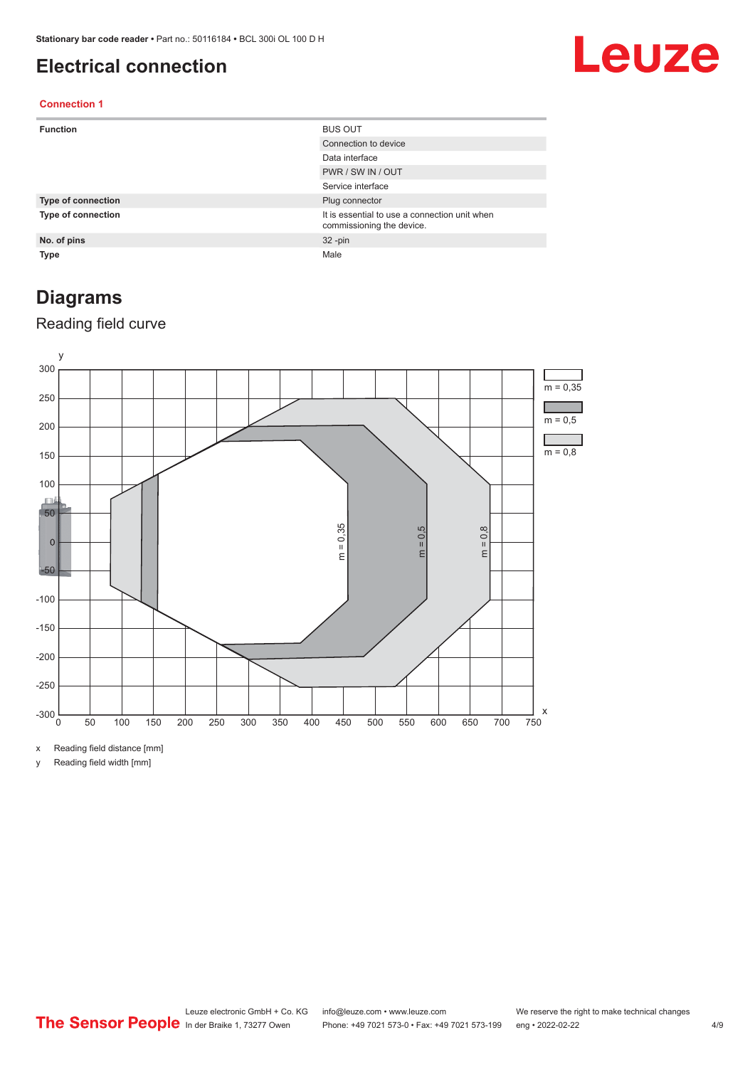## <span id="page-3-0"></span>**Electrical connection**

# Leuze

### **Connection 1**

| <b>Function</b>           | <b>BUS OUT</b>                                                             |
|---------------------------|----------------------------------------------------------------------------|
|                           | Connection to device                                                       |
|                           | Data interface                                                             |
|                           | PWR / SW IN / OUT                                                          |
|                           | Service interface                                                          |
| <b>Type of connection</b> | Plug connector                                                             |
| <b>Type of connection</b> | It is essential to use a connection unit when<br>commissioning the device. |
| No. of pins               | $32 - pin$                                                                 |
| Type                      | Male                                                                       |

# **Diagrams**

### Reading field curve



x Reading field distance [mm]

y Reading field width [mm]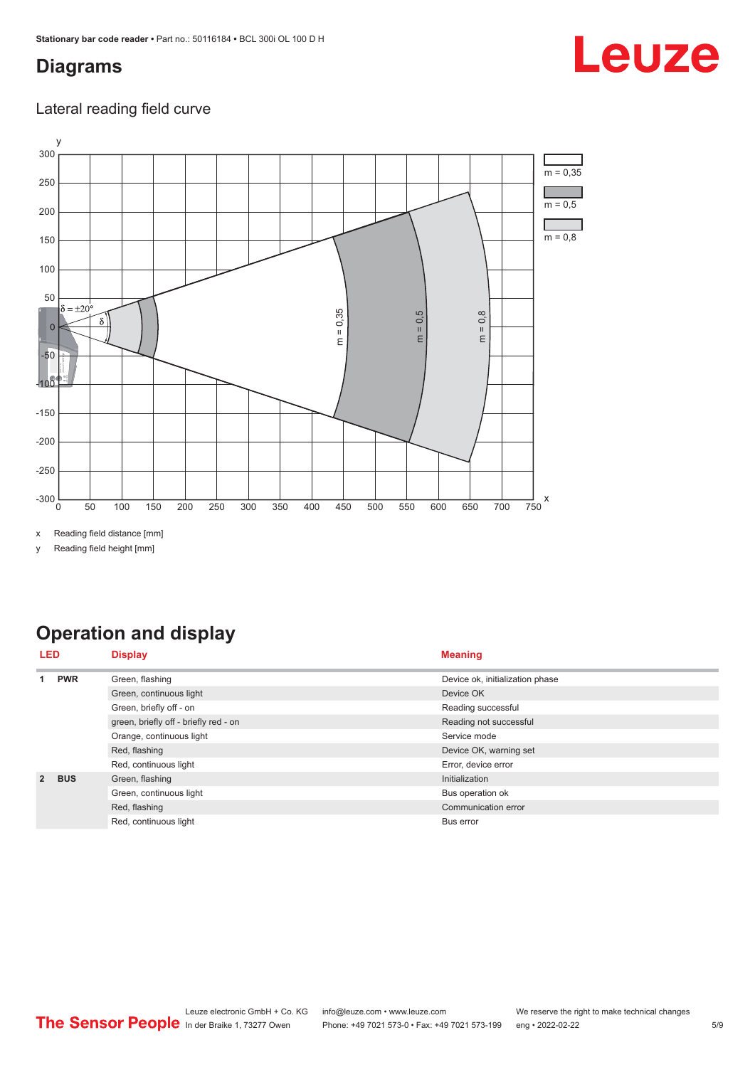# <span id="page-4-0"></span>**Diagrams**

# Leuze

### Lateral reading field curve



x Reading field distance [mm]

y Reading field height [mm]

# **Operation and display**

|               | LED        | <b>Display</b>                        | <b>Meaning</b>                  |
|---------------|------------|---------------------------------------|---------------------------------|
|               | <b>PWR</b> | Green, flashing                       | Device ok, initialization phase |
|               |            | Green, continuous light               | Device OK                       |
|               |            | Green, briefly off - on               | Reading successful              |
|               |            | green, briefly off - briefly red - on | Reading not successful          |
|               |            | Orange, continuous light              | Service mode                    |
|               |            | Red, flashing                         | Device OK, warning set          |
|               |            | Red, continuous light                 | Error, device error             |
| $\mathcal{P}$ | <b>BUS</b> | Green, flashing                       | Initialization                  |
|               |            | Green, continuous light               | Bus operation ok                |
|               |            | Red, flashing                         | Communication error             |
|               |            | Red, continuous light                 | Bus error                       |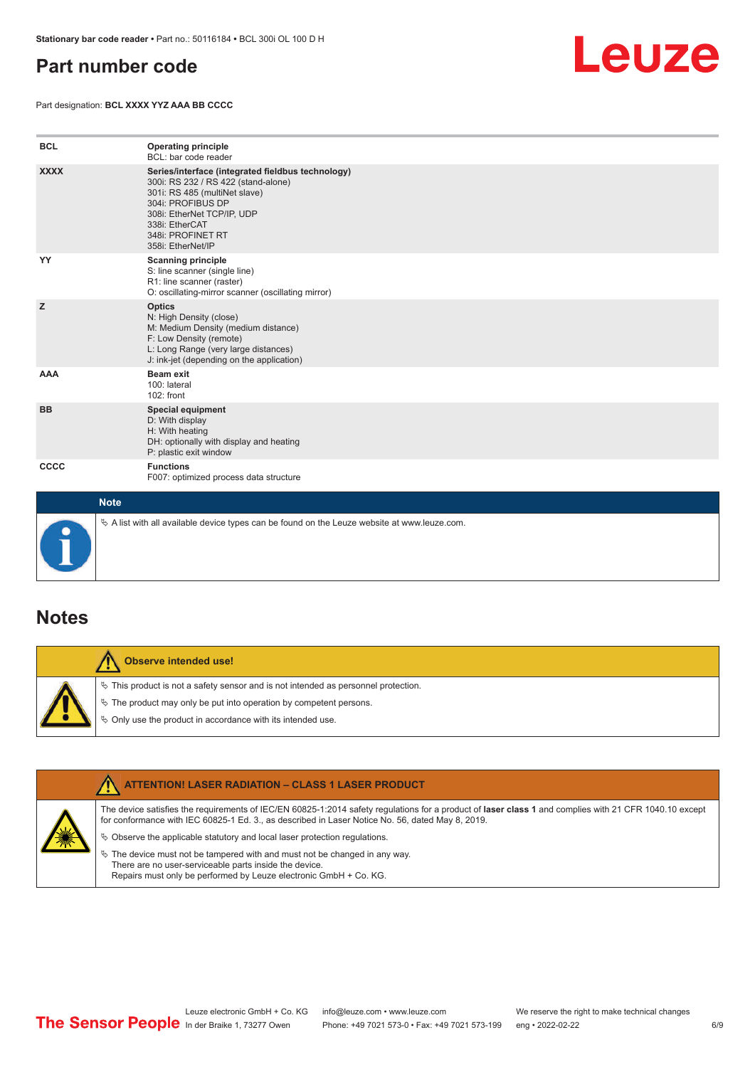## <span id="page-5-0"></span>**Part number code**

Part designation: **BCL XXXX YYZ AAA BB CCCC**



| <b>BCL</b>  | <b>Operating principle</b><br>BCL: bar code reader                                                                                                                                                                                       |
|-------------|------------------------------------------------------------------------------------------------------------------------------------------------------------------------------------------------------------------------------------------|
| <b>XXXX</b> | Series/interface (integrated fieldbus technology)<br>300i: RS 232 / RS 422 (stand-alone)<br>301i: RS 485 (multiNet slave)<br>304i: PROFIBUS DP<br>308i: EtherNet TCP/IP, UDP<br>338i: EtherCAT<br>348i: PROFINET RT<br>358i: EtherNet/IP |
| YY          | <b>Scanning principle</b><br>S: line scanner (single line)<br>R1: line scanner (raster)<br>O: oscillating-mirror scanner (oscillating mirror)                                                                                            |
| z           | <b>Optics</b><br>N: High Density (close)<br>M: Medium Density (medium distance)<br>F: Low Density (remote)<br>L: Long Range (very large distances)<br>J: ink-jet (depending on the application)                                          |
| <b>AAA</b>  | <b>Beam exit</b><br>100: lateral<br>102: front                                                                                                                                                                                           |
| <b>BB</b>   | Special equipment<br>D: With display<br>H: With heating<br>DH: optionally with display and heating<br>P: plastic exit window                                                                                                             |
| CCCC        | <b>Functions</b><br>F007: optimized process data structure                                                                                                                                                                               |
| <b>Note</b> |                                                                                                                                                                                                                                          |



 $\%$  A list with all available device types can be found on the Leuze website at www.leuze.com.

### **Notes**

**Observe intended use!** Λ  $\%$  This product is not a safety sensor and is not intended as personnel protection.  $\%$  The product may only be put into operation by competent persons.  $\%$  Only use the product in accordance with its intended use.

|  | <b>ATTENTION! LASER RADIATION - CLASS 1 LASER PRODUCT</b>                                                                                                                                                                                                  |
|--|------------------------------------------------------------------------------------------------------------------------------------------------------------------------------------------------------------------------------------------------------------|
|  | The device satisfies the requirements of IEC/EN 60825-1:2014 safety regulations for a product of laser class 1 and complies with 21 CFR 1040.10 except<br>for conformance with IEC 60825-1 Ed. 3., as described in Laser Notice No. 56, dated May 8, 2019. |
|  | $\&$ Observe the applicable statutory and local laser protection requisitions.                                                                                                                                                                             |
|  | $\%$ The device must not be tampered with and must not be changed in any way.<br>There are no user-serviceable parts inside the device.<br>Repairs must only be performed by Leuze electronic GmbH + Co. KG.                                               |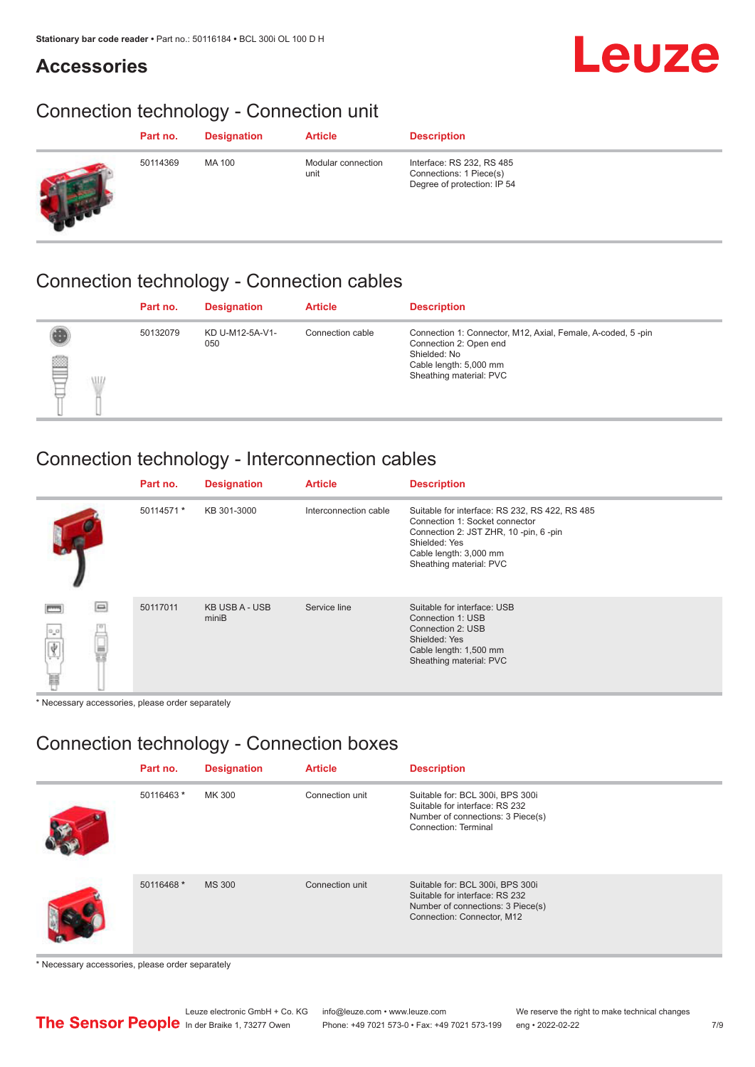## **Accessories**

# Leuze

# Connection technology - Connection unit

| Part no. | <b>Designation</b> | <b>Article</b>             | <b>Description</b>                                                                  |
|----------|--------------------|----------------------------|-------------------------------------------------------------------------------------|
| 50114369 | MA 100             | Modular connection<br>unit | Interface: RS 232, RS 485<br>Connections: 1 Piece(s)<br>Degree of protection: IP 54 |

## Connection technology - Connection cables

|                     | Part no. | <b>Designation</b>     | <b>Article</b>   | <b>Description</b>                                                                                                                                         |
|---------------------|----------|------------------------|------------------|------------------------------------------------------------------------------------------------------------------------------------------------------------|
| tulle<br><b>ALL</b> | 50132079 | KD U-M12-5A-V1-<br>050 | Connection cable | Connection 1: Connector, M12, Axial, Female, A-coded, 5-pin<br>Connection 2: Open end<br>Shielded: No<br>Cable length: 5,000 mm<br>Sheathing material: PVC |

## Connection technology - Interconnection cables

|                      | Part no.   | <b>Designation</b>             | <b>Article</b>        | <b>Description</b>                                                                                                                                                                               |
|----------------------|------------|--------------------------------|-----------------------|--------------------------------------------------------------------------------------------------------------------------------------------------------------------------------------------------|
|                      | 50114571 * | KB 301-3000                    | Interconnection cable | Suitable for interface: RS 232, RS 422, RS 485<br>Connection 1: Socket connector<br>Connection 2: JST ZHR, 10 -pin, 6 -pin<br>Shielded: Yes<br>Cable length: 3,000 mm<br>Sheathing material: PVC |
| e<br>$\sigma^a$<br>畐 | 50117011   | <b>KB USB A - USB</b><br>miniB | Service line          | Suitable for interface: USB<br>Connection 1: USB<br>Connection 2: USB<br>Shielded: Yes<br>Cable length: 1,500 mm<br>Sheathing material: PVC                                                      |

\* Necessary accessories, please order separately

# Connection technology - Connection boxes

| Part no.   | <b>Designation</b> | <b>Article</b>  | <b>Description</b>                                                                                                                    |
|------------|--------------------|-----------------|---------------------------------------------------------------------------------------------------------------------------------------|
| 50116463 * | MK 300             | Connection unit | Suitable for: BCL 300i, BPS 300i<br>Suitable for interface: RS 232<br>Number of connections: 3 Piece(s)<br>Connection: Terminal       |
| 50116468 * | <b>MS 300</b>      | Connection unit | Suitable for: BCL 300i, BPS 300i<br>Suitable for interface: RS 232<br>Number of connections: 3 Piece(s)<br>Connection: Connector, M12 |

\* Necessary accessories, please order separately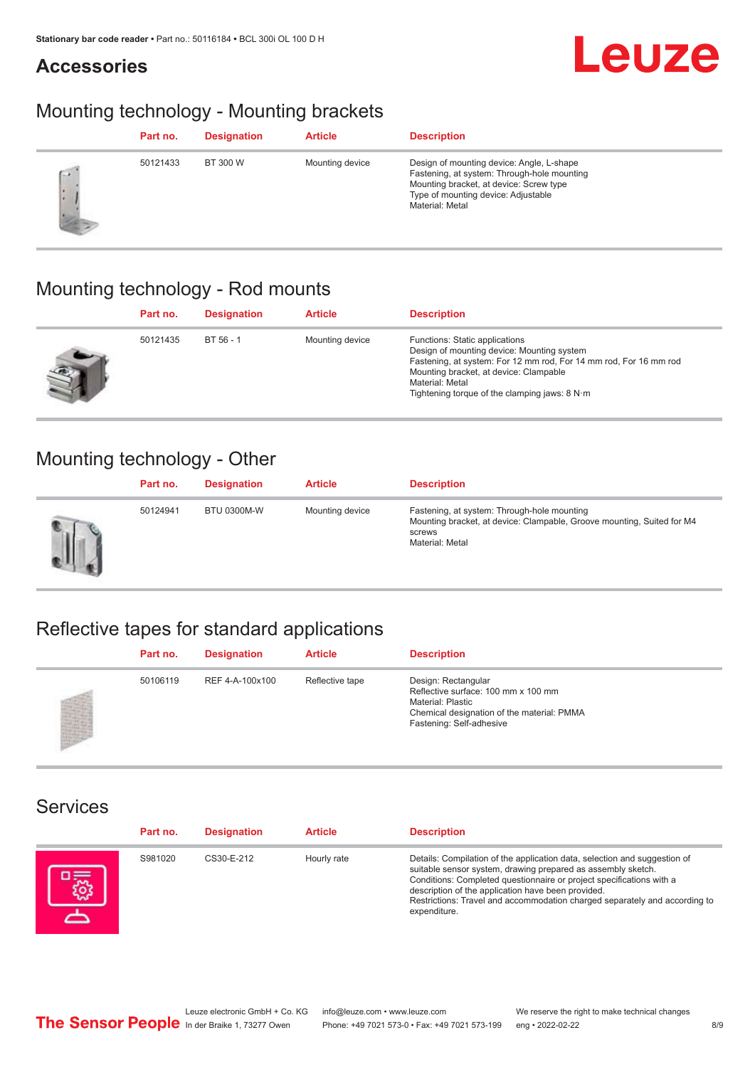## **Accessories**

# Leuze

# Mounting technology - Mounting brackets

|            | Part no. | <b>Designation</b> | <b>Article</b>  | <b>Description</b>                                                                                                                                                                            |
|------------|----------|--------------------|-----------------|-----------------------------------------------------------------------------------------------------------------------------------------------------------------------------------------------|
| <b>CON</b> | 50121433 | BT 300 W           | Mounting device | Design of mounting device: Angle, L-shape<br>Fastening, at system: Through-hole mounting<br>Mounting bracket, at device: Screw type<br>Type of mounting device: Adjustable<br>Material: Metal |

# Mounting technology - Rod mounts

| Part no. | <b>Designation</b> | <b>Article</b>  | <b>Description</b>                                                                                                                                                                                                                                                                     |
|----------|--------------------|-----------------|----------------------------------------------------------------------------------------------------------------------------------------------------------------------------------------------------------------------------------------------------------------------------------------|
| 50121435 | $BT 56 - 1$        | Mounting device | Functions: Static applications<br>Design of mounting device: Mounting system<br>Fastening, at system: For 12 mm rod, For 14 mm rod, For 16 mm rod<br>Mounting bracket, at device: Clampable<br>Material: Metal<br>Tightening torque of the clamping jaws: $8 \text{ N} \cdot \text{m}$ |

## Mounting technology - Other

|   | Part no. | <b>Designation</b> | <b>Article</b>  | <b>Description</b>                                                                                                                                 |
|---|----------|--------------------|-----------------|----------------------------------------------------------------------------------------------------------------------------------------------------|
| Ш | 50124941 | <b>BTU 0300M-W</b> | Mounting device | Fastening, at system: Through-hole mounting<br>Mounting bracket, at device: Clampable, Groove mounting, Suited for M4<br>screws<br>Material: Metal |

# Reflective tapes for standard applications

| Part no. | <b>Designation</b> | <b>Article</b>  | <b>Description</b>                                                                                                                                               |
|----------|--------------------|-----------------|------------------------------------------------------------------------------------------------------------------------------------------------------------------|
| 50106119 | REF 4-A-100x100    | Reflective tape | Design: Rectangular<br>Reflective surface: 100 mm x 100 mm<br><b>Material: Plastic</b><br>Chemical designation of the material: PMMA<br>Fastening: Self-adhesive |

### Services

| Part no. | <b>Designation</b> | <b>Article</b> | <b>Description</b>                                                                                                                                                                                                                                                                                                                                                    |
|----------|--------------------|----------------|-----------------------------------------------------------------------------------------------------------------------------------------------------------------------------------------------------------------------------------------------------------------------------------------------------------------------------------------------------------------------|
| S981020  | CS30-E-212         | Hourly rate    | Details: Compilation of the application data, selection and suggestion of<br>suitable sensor system, drawing prepared as assembly sketch.<br>Conditions: Completed questionnaire or project specifications with a<br>description of the application have been provided.<br>Restrictions: Travel and accommodation charged separately and according to<br>expenditure. |